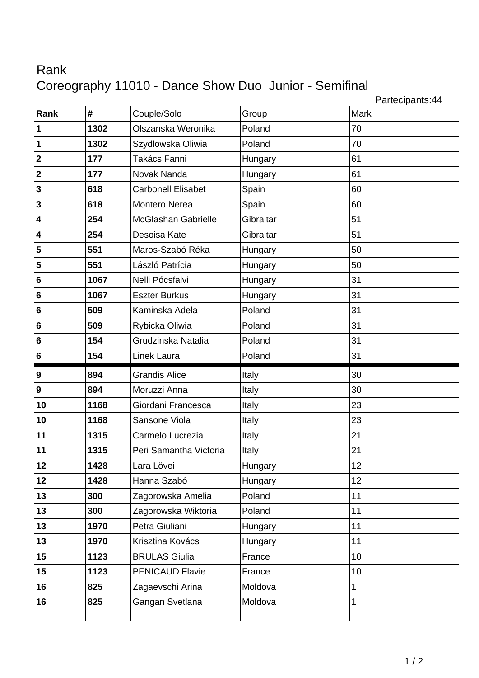## Rank Coreography 11010 - Dance Show Duo Junior - Semifinal

Partecipants:44

| Rank                    | #    | Couple/Solo                | Group     | 1.001<br>Mark |
|-------------------------|------|----------------------------|-----------|---------------|
| $\vert$ 1               | 1302 | Olszanska Weronika         | Poland    | 70            |
| $\vert$ 1               | 1302 | Szydlowska Oliwia          | Poland    | 70            |
| $\overline{\mathbf{2}}$ | 177  | Takács Fanni               | Hungary   | 61            |
| $\overline{\mathbf{2}}$ | 177  | Novak Nanda                | Hungary   | 61            |
| $\overline{\mathbf{3}}$ | 618  | <b>Carbonell Elisabet</b>  | Spain     | 60            |
| $\overline{\mathbf{3}}$ | 618  | Montero Nerea              | Spain     | 60            |
| $\overline{\mathbf{4}}$ | 254  | <b>McGlashan Gabrielle</b> | Gibraltar | 51            |
| $\overline{\mathbf{4}}$ | 254  | Desoisa Kate               | Gibraltar | 51            |
|                         |      |                            |           |               |
| 5                       | 551  | Maros-Szabó Réka           | Hungary   | 50            |
| 5                       | 551  | László Patrícia            | Hungary   | 50            |
| $6\phantom{a}$          | 1067 | Nelli Pócsfalvi            | Hungary   | 31            |
| $6\phantom{a}$          | 1067 | <b>Eszter Burkus</b>       | Hungary   | 31            |
| $6\phantom{.}6$         | 509  | Kaminska Adela             | Poland    | 31            |
| 6                       | 509  | Rybicka Oliwia             | Poland    | 31            |
| $6\phantom{a}$          | 154  | Grudzinska Natalia         | Poland    | 31            |
| 6                       | 154  | Linek Laura                | Poland    | 31            |
|                         |      |                            |           |               |
| 9                       | 894  | <b>Grandis Alice</b>       | Italy     | 30            |
| 9                       | 894  | Moruzzi Anna               | Italy     | 30            |
| 10                      | 1168 | Giordani Francesca         | Italy     | 23            |
| 10                      | 1168 | Sansone Viola              | Italy     | 23            |
| 11                      | 1315 | Carmelo Lucrezia           | Italy     | 21            |
| 11                      | 1315 | Peri Samantha Victoria     | Italy     | 21            |
| 12                      | 1428 | Lara Lövei                 | Hungary   | 12            |
| 12                      | 1428 | Hanna Szabó                | Hungary   | 12            |
| 13                      | 300  | Zagorowska Amelia          | Poland    | 11            |
| 13                      | 300  | Zagorowska Wiktoria        | Poland    | 11            |
| 13                      | 1970 | Petra Giuliáni             | Hungary   | 11            |
| 13                      | 1970 | Krisztina Kovács           | Hungary   | 11            |
| 15                      | 1123 | <b>BRULAS Giulia</b>       | France    | 10            |
| 15                      | 1123 | <b>PENICAUD Flavie</b>     | France    | 10            |
| 16                      | 825  | Zagaevschi Arina           | Moldova   | $\mathbf 1$   |